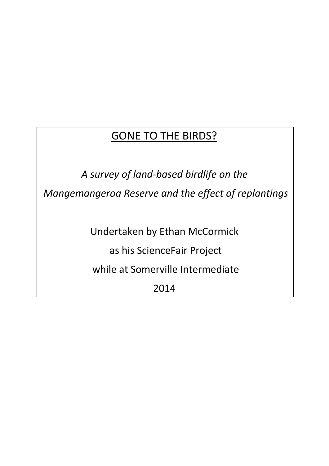### GONE TO THE BIRDS?

*A survey of land-based birdlife on the Mangemangeroa Reserve and the effect of replantings*

Undertaken by Ethan McCormick

as his ScienceFair Project

while at Somerville Intermediate

2014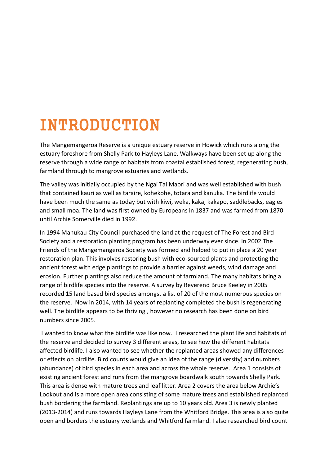## INTRODUCTION

The Mangemangeroa Reserve is a unique estuary reserve in Howick which runs along the estuary foreshore from Shelly Park to Hayleys Lane. Walkways have been set up along the reserve through a wide range of habitats from coastal established forest, regenerating bush, farmland through to mangrove estuaries and wetlands.

The valley was initially occupied by the Ngai Tai Maori and was well established with bush that contained kauri as well as taraire, kohekohe, totara and kanuka. The birdlife would have been much the same as today but with kiwi, weka, kaka, kakapo, saddlebacks, eagles and small moa. The land was first owned by Europeans in 1837 and was farmed from 1870 until Archie Somerville died in 1992.

In 1994 Manukau City Council purchased the land at the request of The Forest and Bird Society and a restoration planting program has been underway ever since. In 2002 The Friends of the Mangemangeroa Society was formed and helped to put in place a 20 year restoration plan. This involves restoring bush with eco-sourced plants and protecting the ancient forest with edge plantings to provide a barrier against weeds, wind damage and erosion. Further plantings also reduce the amount of farmland. The many habitats bring a range of birdlife species into the reserve. A survey by Reverend Bruce Keeley in 2005 recorded 15 land based bird species amongst a list of 20 of the most numerous species on the reserve. Now in 2014, with 14 years of replanting completed the bush is regenerating well. The birdlife appears to be thriving , however no research has been done on bird numbers since 2005.

I wanted to know what the birdlife was like now. I researched the plant life and habitats of the reserve and decided to survey 3 different areas, to see how the different habitats affected birdlife. I also wanted to see whether the replanted areas showed any differences or effects on birdlife. Bird counts would give an idea of the range (diversity) and numbers (abundance) of bird species in each area and across the whole reserve. Area 1 consists of existing ancient forest and runs from the mangrove boardwalk south towards Shelly Park. This area is dense with mature trees and leaf litter. Area 2 covers the area below Archie's Lookout and is a more open area consisting of some mature trees and established replanted bush bordering the farmland. Replantings are up to 10 years old. Area 3 is newly planted (2013-2014) and runs towards Hayleys Lane from the Whitford Bridge. This area is also quite open and borders the estuary wetlands and Whitford farmland. I also researched bird count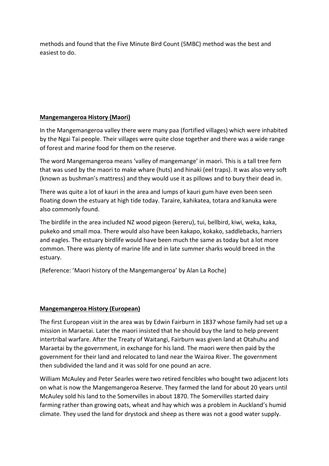methods and found that the Five Minute Bird Count (5MBC) method was the best and easiest to do.

#### **Mangemangeroa History (Maori)**

In the Mangemangeroa valley there were many paa (fortified villages) which were inhabited by the Ngai Tai people. Their villages were quite close together and there was a wide range of forest and marine food for them on the reserve.

The word Mangemangeroa means 'valley of mangemange' in maori. This is a tall tree fern that was used by the maori to make whare (huts) and hinaki (eel traps). It was also very soft (known as bushman's mattress) and they would use it as pillows and to bury their dead in.

There was quite a lot of kauri in the area and lumps of kauri gum have even been seen floating down the estuary at high tide today. Taraire, kahikatea, totara and kanuka were also commonly found.

The birdlife in the area included NZ wood pigeon (kereru), tui, bellbird, kiwi, weka, kaka, pukeko and small moa. There would also have been kakapo, kokako, saddlebacks, harriers and eagles. The estuary birdlife would have been much the same as today but a lot more common. There was plenty of marine life and in late summer sharks would breed in the estuary.

(Reference: 'Maori history of the Mangemangeroa' by Alan La Roche)

#### **Mangemangeroa History (European)**

The first European visit in the area was by Edwin Fairburn in 1837 whose family had set up a mission in Maraetai. Later the maori insisted that he should buy the land to help prevent intertribal warfare. After the Treaty of Waitangi, Fairburn was given land at Otahuhu and Maraetai by the government, in exchange for his land. The maori were then paid by the government for their land and relocated to land near the Wairoa River. The government then subdivided the land and it was sold for one pound an acre.

William McAuley and Peter Searles were two retired fencibles who bought two adjacent lots on what is now the Mangemangeroa Reserve. They farmed the land for about 20 years until McAuley sold his land to the Somervilles in about 1870. The Somervilles started dairy farming rather than growing oats, wheat and hay which was a problem in Auckland's humid climate. They used the land for drystock and sheep as there was not a good water supply.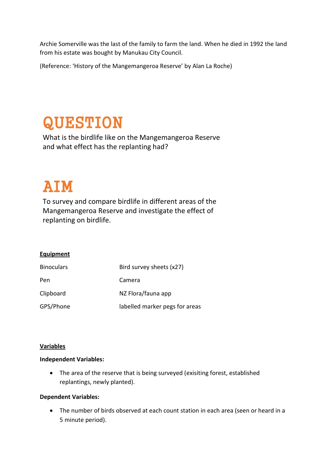Archie Somerville was the last of the family to farm the land. When he died in 1992 the land from his estate was bought by Manukau City Council.

(Reference: 'History of the Mangemangeroa Reserve' by Alan La Roche)

### QUESTION

What is the birdlife like on the Mangemangeroa Reserve and what effect has the replanting had?

### AIM

To survey and compare birdlife in different areas of the Mangemangeroa Reserve and investigate the effect of replanting on birdlife.

#### **Equipment**

| <b>Binoculars</b> | Bird survey sheets (x27)       |
|-------------------|--------------------------------|
| Pen               | Camera                         |
| Clipboard         | NZ Flora/fauna app             |
| GPS/Phone         | labelled marker pegs for areas |

#### **Variables**

#### **Independent Variables:**

• The area of the reserve that is being surveyed (exisiting forest, established replantings, newly planted).

#### **Dependent Variables:**

• The number of birds observed at each count station in each area (seen or heard in a 5 minute period).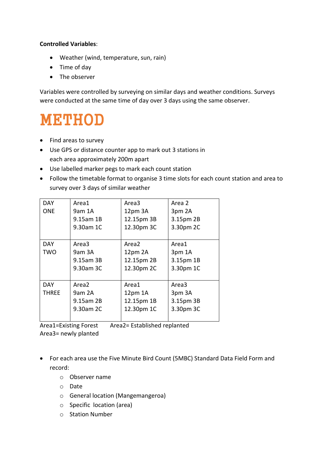#### **Controlled Variables**:

- Weather (wind, temperature, sun, rain)
- Time of day
- The observer

Variables were controlled by surveying on similar days and weather conditions. Surveys were conducted at the same time of day over 3 days using the same observer.

### METHOD

- Find areas to survey
- Use GPS or distance counter app to mark out 3 stations in each area approximately 200m apart
- Use labelled marker pegs to mark each count station
- Follow the timetable format to organise 3 time slots for each count station and area to survey over 3 days of similar weather

| <b>DAY</b>   | Area1     | Area3      | Area 2    |  |  |  |
|--------------|-----------|------------|-----------|--|--|--|
| <b>ONE</b>   | 9am 1A    | 12pm 3A    | 3pm 2A    |  |  |  |
|              | 9.15am 1B | 12.15pm 3B | 3.15pm 2B |  |  |  |
|              | 9.30am 1C | 12.30pm 3C | 3.30pm 2C |  |  |  |
|              |           |            |           |  |  |  |
| <b>DAY</b>   | Area3     | Area2      | Area1     |  |  |  |
| TWO          | 9am 3A    | 12pm 2A    | 3pm 1A    |  |  |  |
|              | 9.15am 3B | 12.15pm 2B | 3.15pm 1B |  |  |  |
|              | 9.30am 3C | 12.30pm 2C | 3.30pm 1C |  |  |  |
|              |           |            |           |  |  |  |
| <b>DAY</b>   | Area2     | Area1      | Area3     |  |  |  |
| <b>THREE</b> | 9am 2A    | 12pm 1A    | 3pm 3A    |  |  |  |
|              | 9.15am 2B | 12.15pm 1B | 3.15pm 3B |  |  |  |
|              | 9.30am 2C | 12.30pm 1C | 3.30pm 3C |  |  |  |
|              |           |            |           |  |  |  |

Area1=Existing Forest Area2= Established replanted Area3= newly planted

- For each area use the Five Minute Bird Count (5MBC) Standard Data Field Form and record:
	- o Observer name
	- o Date
	- o General location (Mangemangeroa)
	- o Specific location (area)
	- o Station Number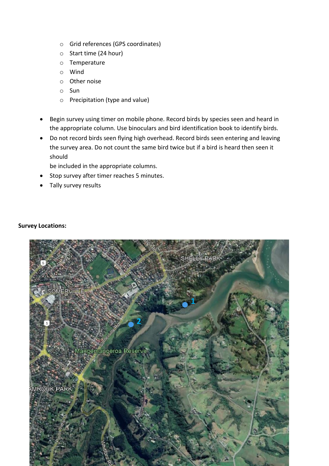- o Grid references (GPS coordinates)
- o Start time (24 hour)
- o Temperature
- o Wind
- o Other noise
- o Sun
- o Precipitation (type and value)
- Begin survey using timer on mobile phone. Record birds by species seen and heard in the appropriate column. Use binoculars and bird identification book to identify birds.
- Do not record birds seen flying high overhead. Record birds seen entering and leaving the survey area. Do not count the same bird twice but if a bird is heard then seen it should

be included in the appropriate columns.

- Stop survey after timer reaches 5 minutes.
- Tally survey results

#### **Survey Locations:**

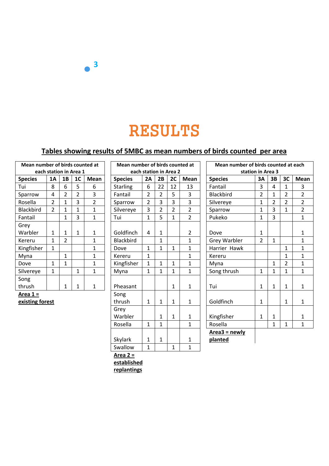### RESULTS

#### **Tables showing results of 5MBC as mean numbers of birds counted per area**

| Mean number of birds counted at |    |                |                |              |  |  |  |  |  |  |
|---------------------------------|----|----------------|----------------|--------------|--|--|--|--|--|--|
| each station in Area 1          |    |                |                |              |  |  |  |  |  |  |
| <b>Species</b>                  | 1A | 1B             | 1 <sub>C</sub> | <b>Mean</b>  |  |  |  |  |  |  |
| Tui                             | 8  | 6              | 5              | 6            |  |  |  |  |  |  |
| Sparrow                         | 4  | $\overline{2}$ | $\overline{2}$ | 3            |  |  |  |  |  |  |
| Rosella                         | 2  | 1              | 3              | 2            |  |  |  |  |  |  |
| <b>Blackbird</b>                | 2  | 1              | 1              | 1            |  |  |  |  |  |  |
| Fantail                         |    | 1              | 3              | 1            |  |  |  |  |  |  |
| Grey                            |    |                |                |              |  |  |  |  |  |  |
| Warbler                         | 1  | 1              | 1              | 1            |  |  |  |  |  |  |
| Kereru                          | 1  | 2              |                | 1            |  |  |  |  |  |  |
| Kingfisher                      | 1  |                |                | 1            |  |  |  |  |  |  |
| Myna                            |    | 1              |                | $\mathbf{1}$ |  |  |  |  |  |  |
| Dove                            | 1  | 1              |                | 1            |  |  |  |  |  |  |
| Silvereye                       | 1  |                | 1              | 1            |  |  |  |  |  |  |
| Song                            |    |                |                |              |  |  |  |  |  |  |
| thrush                          |    | 1              | 1              | 1            |  |  |  |  |  |  |

**3**

| Mean number of birds counted at<br>each station in Area 2 |                |                             |                |                         |  |  |  |  |  |
|-----------------------------------------------------------|----------------|-----------------------------|----------------|-------------------------|--|--|--|--|--|
| <b>Species</b>                                            | 2A             | 2В                          | 2C             | Mean                    |  |  |  |  |  |
| <b>Starling</b>                                           | 6              | 22                          | 12             | 13                      |  |  |  |  |  |
| Fantail                                                   |                |                             | 5              | 3                       |  |  |  |  |  |
| Sparrow                                                   | $\frac{2}{3}$  | $\frac{2}{3}$ $\frac{2}{5}$ | $\frac{3}{2}$  |                         |  |  |  |  |  |
| Silvereye                                                 |                |                             |                | $\frac{3}{2}$           |  |  |  |  |  |
| Tui                                                       | $\overline{1}$ |                             | $\overline{1}$ |                         |  |  |  |  |  |
|                                                           | 4              |                             |                |                         |  |  |  |  |  |
| Goldfinch                                                 |                | 1                           |                | $\overline{\mathbf{c}}$ |  |  |  |  |  |
| <b>Blackbird</b>                                          |                | $\overline{1}$              |                | $\overline{1}$          |  |  |  |  |  |
| Dove                                                      | $\mathbf{1}$   | 1                           | 1              | $\overline{1}$          |  |  |  |  |  |
| Kereru                                                    | $\overline{1}$ |                             | $\mathbf{1}$   | $\overline{1}$          |  |  |  |  |  |
| Kingfisher                                                | $\overline{1}$ | $\mathbf{1}$                | $\mathbf{1}$   |                         |  |  |  |  |  |
| Myna                                                      | $\mathbf{1}$   | $\overline{1}$              | $\overline{1}$ | 1                       |  |  |  |  |  |
| Pheasant                                                  |                |                             | 1              | 1                       |  |  |  |  |  |
| Song<br>thrush                                            | 1              | 1                           | 1              | 1                       |  |  |  |  |  |
| Grey                                                      |                |                             |                |                         |  |  |  |  |  |
| Warbler                                                   |                | 1                           | 1              | 1                       |  |  |  |  |  |
| Rosella                                                   | 1              | $\overline{1}$              |                | $\overline{1}$          |  |  |  |  |  |
| Skylark                                                   | $\mathbf 1$    | 1                           |                | 1                       |  |  |  |  |  |
| Swallow                                                   | $\overline{1}$ |                             | $\mathbf 1$    | $\overline{1}$          |  |  |  |  |  |

| Mean number of birds counted at |                |                | Mean number of birds counted at |                        |                  |                |                | Mean number of birds counted at each |                |                     |                |                |                |                |
|---------------------------------|----------------|----------------|---------------------------------|------------------------|------------------|----------------|----------------|--------------------------------------|----------------|---------------------|----------------|----------------|----------------|----------------|
| each station in Area 1          |                |                |                                 | each station in Area 2 |                  |                |                | station in Area 3                    |                |                     |                |                |                |                |
| <b>Species</b>                  | <b>1A</b>      | 1B             | 1 <sub>C</sub>                  | <b>Mean</b>            | <b>Species</b>   | 2A             | 2B             | 2C                                   | <b>Mean</b>    | <b>Species</b>      | 3A             | 3B             | 3C             | Mean           |
| Tui                             | 8              | 6              | 5                               | 6                      | <b>Starling</b>  | 6              | 22             | 12                                   | 13             | Fantail             | 3              | 4              | 1              | 3              |
| Sparrow                         | 4              | $\overline{2}$ | $\overline{2}$                  | 3                      | Fantail          | $\overline{2}$ | $\overline{2}$ | 5                                    | 3              | <b>Blackbird</b>    | $\overline{2}$ | $\mathbf{1}$   | 2              | $\overline{2}$ |
| Rosella                         | $\overline{2}$ | 1              | 3                               | $\overline{2}$         | Sparrow          | $\overline{2}$ | 3              | 3                                    | 3              | Silvereye           | $\mathbf 1$    | $\overline{2}$ | $\overline{2}$ | $\overline{2}$ |
| <b>Blackbird</b>                | $\overline{2}$ | $\mathbf{1}$   | 1                               | 1                      | Silvereye        | 3              | $\overline{2}$ | $\overline{2}$                       | $\overline{2}$ | Sparrow             | 1              | 3              | $\mathbf{1}$   | $\overline{2}$ |
| Fantail                         |                | 1              | 3                               | 1                      | Tui              | $\mathbf{1}$   | 5              | $\mathbf{1}$                         | $\overline{2}$ | Pukeko              | 1              | 3              |                | $\mathbf{1}$   |
| Grey                            |                |                |                                 |                        |                  |                |                |                                      |                |                     |                |                |                |                |
| Warbler                         | 1              | 1              | 1                               | 1                      | Goldfinch        | 4              | 1              |                                      | $\overline{2}$ | Dove                | 1              |                |                | 1              |
| Kereru                          | $\mathbf{1}$   | $\overline{2}$ |                                 | 1                      | <b>Blackbird</b> |                | 1              |                                      | $\mathbf{1}$   | <b>Grey Warbler</b> | 2              | $\mathbf{1}$   |                | $\mathbf{1}$   |
| Kingfisher                      | $\mathbf{1}$   |                |                                 | 1                      | Dove             | $\mathbf{1}$   | $\mathbf{1}$   | 1                                    | $\mathbf{1}$   | Harrier Hawk        |                |                | 1              | $\mathbf{1}$   |
| Myna                            |                | 1              |                                 | 1                      | Kereru           | $\mathbf{1}$   |                |                                      | $\mathbf{1}$   | Kereru              |                |                | 1              | 1              |
| Dove                            | $\mathbf{1}$   | 1              |                                 | $\mathbf{1}$           | Kingfisher       | 1              | $\mathbf{1}$   | $\mathbf{1}$                         | 1              | Myna                |                | $\mathbf{1}$   | 2              | 1              |
| Silvereye                       | $\mathbf{1}$   |                | $\mathbf{1}$                    | 1                      | Myna             | $\mathbf{1}$   | 1              | $\mathbf{1}$                         | 1              | Song thrush         | $\mathbf{1}$   | $\mathbf{1}$   | $\mathbf{1}$   | $\mathbf{1}$   |
| Song                            |                |                |                                 |                        |                  |                |                |                                      |                |                     |                |                |                |                |
| thrush                          |                | 1              | 1                               | 1                      | Pheasant         |                |                | $\mathbf{1}$                         | $\mathbf{1}$   | Tui                 | 1              | $\mathbf{1}$   | $\mathbf 1$    | $\mathbf{1}$   |
| Area $1 =$                      |                |                |                                 |                        | Song             |                |                |                                      |                |                     |                |                |                |                |
| existing forest                 |                |                |                                 |                        | thrush           | 1              | $\mathbf{1}$   | $\mathbf{1}$                         | 1              | Goldfinch           | 1              |                | 1              | 1              |
|                                 |                |                |                                 |                        | Grey             |                |                |                                      |                |                     |                |                |                |                |
|                                 |                |                |                                 |                        | Warbler          |                | 1              | $\mathbf{1}$                         | $\mathbf{1}$   | Kingfisher          | 1              | 1              |                | $\mathbf{1}$   |
|                                 |                |                |                                 |                        | Rosella          | $\mathbf{1}$   | $\mathbf{1}$   |                                      | 1              | Rosella             |                | 1              | $\mathbf{1}$   | $\mathbf{1}$   |
|                                 |                |                |                                 |                        |                  |                |                |                                      |                | $Area3 = newly$     |                |                |                |                |
|                                 |                |                |                                 |                        | Skylark          | 1              | 1              |                                      | 1              | planted             |                |                |                |                |

**Area 2 =** 

**established** 

**replantings**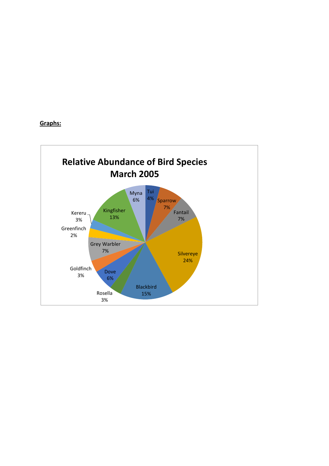#### **Graphs:**

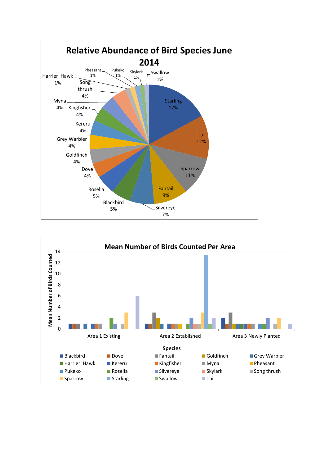

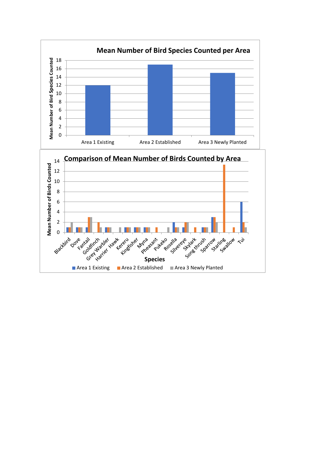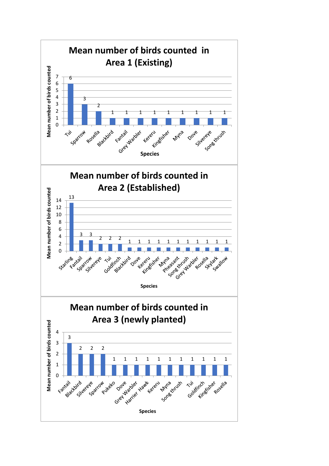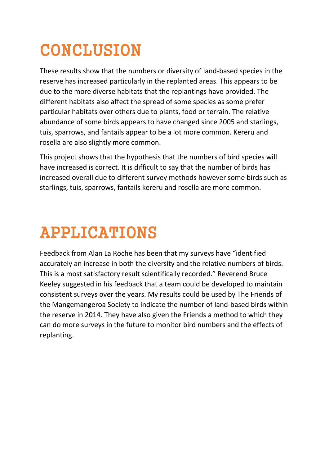## **CONCLUSION**

These results show that the numbers or diversity of land-based species in the reserve has increased particularly in the replanted areas. This appears to be due to the more diverse habitats that the replantings have provided. The different habitats also affect the spread of some species as some prefer particular habitats over others due to plants, food or terrain. The relative abundance of some birds appears to have changed since 2005 and starlings, tuis, sparrows, and fantails appear to be a lot more common. Kereru and rosella are also slightly more common.

This project shows that the hypothesis that the numbers of bird species will have increased is correct. It is difficult to say that the number of birds has increased overall due to different survey methods however some birds such as starlings, tuis, sparrows, fantails kereru and rosella are more common.

# APPLICATIONS

Feedback from Alan La Roche has been that my surveys have "identified accurately an increase in both the diversity and the relative numbers of birds. This is a most satisfactory result scientifically recorded." Reverend Bruce Keeley suggested in his feedback that a team could be developed to maintain consistent surveys over the years. My results could be used by The Friends of the Mangemangeroa Society to indicate the number of land-based birds within the reserve in 2014. They have also given the Friends a method to which they can do more surveys in the future to monitor bird numbers and the effects of replanting.